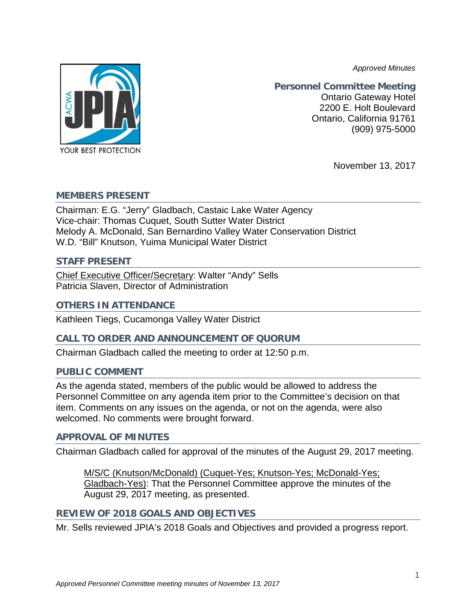*Approved Minutes*



**Personnel Committee Meeting** Ontario Gateway Hotel 2200 E. Holt Boulevard Ontario, California 91761 (909) 975-5000

November 13, 2017

### **MEMBERS PRESENT**

Chairman: E.G. "Jerry" Gladbach, Castaic Lake Water Agency Vice-chair: Thomas Cuquet, South Sutter Water District Melody A. McDonald, San Bernardino Valley Water Conservation District W.D. "Bill" Knutson, Yuima Municipal Water District

#### **STAFF PRESENT**

Chief Executive Officer/Secretary: Walter "Andy" Sells Patricia Slaven, Director of Administration

# **OTHERS IN ATTENDANCE**

Kathleen Tiegs, Cucamonga Valley Water District

# **CALL TO ORDER AND ANNOUNCEMENT OF QUORUM**

Chairman Gladbach called the meeting to order at 12:50 p.m.

# **PUBLIC COMMENT**

As the agenda stated, members of the public would be allowed to address the Personnel Committee on any agenda item prior to the Committee's decision on that item. Comments on any issues on the agenda, or not on the agenda, were also welcomed. No comments were brought forward.

# **APPROVAL OF MINUTES**

Chairman Gladbach called for approval of the minutes of the August 29, 2017 meeting.

M/S/C (Knutson/McDonald) (Cuquet-Yes; Knutson-Yes; McDonald-Yes; Gladbach-Yes): That the Personnel Committee approve the minutes of the August 29, 2017 meeting, as presented.

# **REVIEW OF 2018 GOALS AND OBJECTIVES**

Mr. Sells reviewed JPIA's 2018 Goals and Objectives and provided a progress report.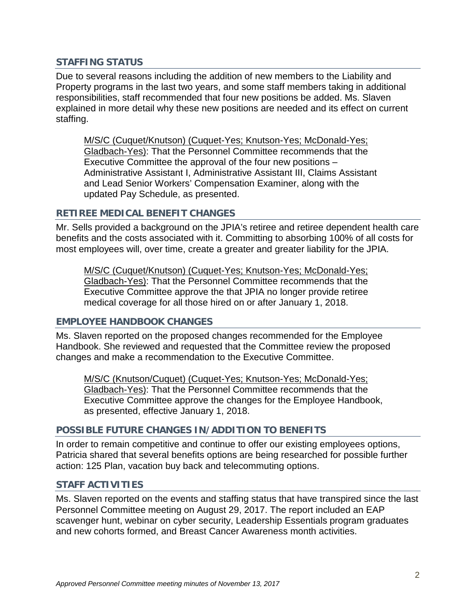# **STAFFING STATUS**

Due to several reasons including the addition of new members to the Liability and Property programs in the last two years, and some staff members taking in additional responsibilities, staff recommended that four new positions be added. Ms. Slaven explained in more detail why these new positions are needed and its effect on current staffing.

M/S/C (Cuquet/Knutson) (Cuquet-Yes; Knutson-Yes; McDonald-Yes; Gladbach-Yes): That the Personnel Committee recommends that the Executive Committee the approval of the four new positions – Administrative Assistant I, Administrative Assistant III, Claims Assistant and Lead Senior Workers' Compensation Examiner, along with the updated Pay Schedule, as presented.

# **RETIREE MEDICAL BENEFIT CHANGES**

Mr. Sells provided a background on the JPIA's retiree and retiree dependent health care benefits and the costs associated with it. Committing to absorbing 100% of all costs for most employees will, over time, create a greater and greater liability for the JPIA.

M/S/C (Cuquet/Knutson) (Cuquet-Yes; Knutson-Yes; McDonald-Yes; Gladbach-Yes): That the Personnel Committee recommends that the Executive Committee approve the that JPIA no longer provide retiree medical coverage for all those hired on or after January 1, 2018.

# **EMPLOYEE HANDBOOK CHANGES**

Ms. Slaven reported on the proposed changes recommended for the Employee Handbook. She reviewed and requested that the Committee review the proposed changes and make a recommendation to the Executive Committee.

M/S/C (Knutson/Cuquet) (Cuquet-Yes; Knutson-Yes; McDonald-Yes; Gladbach-Yes): That the Personnel Committee recommends that the Executive Committee approve the changes for the Employee Handbook, as presented, effective January 1, 2018.

# **POSSIBLE FUTURE CHANGES IN/ADDITION TO BENEFITS**

In order to remain competitive and continue to offer our existing employees options, Patricia shared that several benefits options are being researched for possible further action: 125 Plan, vacation buy back and telecommuting options.

# **STAFF ACTIVITIES**

Ms. Slaven reported on the events and staffing status that have transpired since the last Personnel Committee meeting on August 29, 2017. The report included an EAP scavenger hunt, webinar on cyber security, Leadership Essentials program graduates and new cohorts formed, and Breast Cancer Awareness month activities.